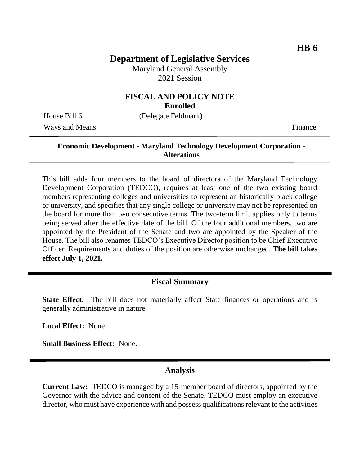# **Department of Legislative Services**

Maryland General Assembly 2021 Session

### **FISCAL AND POLICY NOTE Enrolled**

Ways and Means Finance

House Bill 6 (Delegate Feldmark)

## **Economic Development - Maryland Technology Development Corporation - Alterations**

This bill adds four members to the board of directors of the Maryland Technology Development Corporation (TEDCO), requires at least one of the two existing board members representing colleges and universities to represent an historically black college or university, and specifies that any single college or university may not be represented on the board for more than two consecutive terms. The two-term limit applies only to terms being served after the effective date of the bill. Of the four additional members, two are appointed by the President of the Senate and two are appointed by the Speaker of the House. The bill also renames TEDCO's Executive Director position to be Chief Executive Officer. Requirements and duties of the position are otherwise unchanged. **The bill takes effect July 1, 2021.**

#### **Fiscal Summary**

**State Effect:** The bill does not materially affect State finances or operations and is generally administrative in nature.

**Local Effect:** None.

**Small Business Effect:** None.

#### **Analysis**

**Current Law:** TEDCO is managed by a 15-member board of directors, appointed by the Governor with the advice and consent of the Senate. TEDCO must employ an executive director, who must have experience with and possess qualifications relevant to the activities